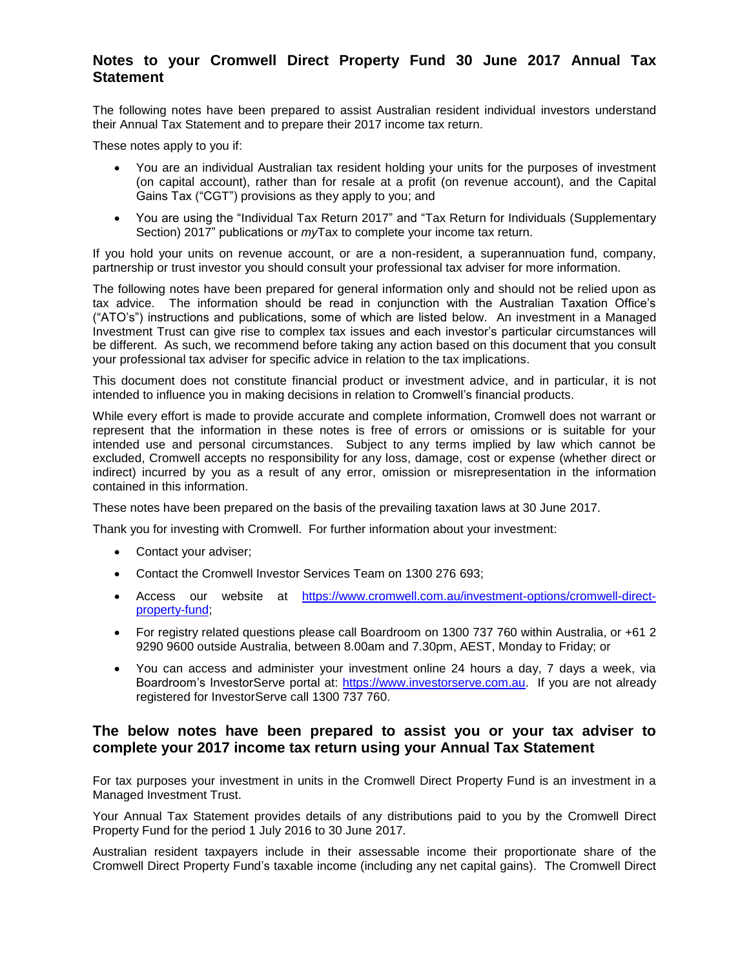# **Notes to your Cromwell Direct Property Fund 30 June 2017 Annual Tax Statement**

The following notes have been prepared to assist Australian resident individual investors understand their Annual Tax Statement and to prepare their 2017 income tax return.

These notes apply to you if:

- You are an individual Australian tax resident holding your units for the purposes of investment (on capital account), rather than for resale at a profit (on revenue account), and the Capital Gains Tax ("CGT") provisions as they apply to you; and
- You are using the "Individual Tax Return 2017" and "Tax Return for Individuals (Supplementary Section) 2017" publications or *my*Tax to complete your income tax return.

If you hold your units on revenue account, or are a non-resident, a superannuation fund, company, partnership or trust investor you should consult your professional tax adviser for more information.

The following notes have been prepared for general information only and should not be relied upon as tax advice. The information should be read in conjunction with the Australian Taxation Office's ("ATO's") instructions and publications, some of which are listed below. An investment in a Managed Investment Trust can give rise to complex tax issues and each investor's particular circumstances will be different. As such, we recommend before taking any action based on this document that you consult your professional tax adviser for specific advice in relation to the tax implications.

This document does not constitute financial product or investment advice, and in particular, it is not intended to influence you in making decisions in relation to Cromwell's financial products.

While every effort is made to provide accurate and complete information, Cromwell does not warrant or represent that the information in these notes is free of errors or omissions or is suitable for your intended use and personal circumstances. Subject to any terms implied by law which cannot be excluded, Cromwell accepts no responsibility for any loss, damage, cost or expense (whether direct or indirect) incurred by you as a result of any error, omission or misrepresentation in the information contained in this information.

These notes have been prepared on the basis of the prevailing taxation laws at 30 June 2017.

Thank you for investing with Cromwell. For further information about your investment:

- Contact your adviser;
- Contact the Cromwell Investor Services Team on 1300 276 693;
- Access our website at [https://www.cromwell.com.au/investment-options/cromwell-direct](https://www.cromwell.com.au/investment-options/cromwell-direct-property-fund)[property-fund;](https://www.cromwell.com.au/investment-options/cromwell-direct-property-fund)
- For registry related questions please call Boardroom on 1300 737 760 within Australia, or +61 2 9290 9600 outside Australia, between 8.00am and 7.30pm, AEST, Monday to Friday; or
- You can access and administer your investment online 24 hours a day, 7 days a week, via Boardroom's InvestorServe portal at: [https://www.investorserve.com.au.](https://www.investorserve.com.au/) If you are not already registered for InvestorServe call 1300 737 760.

## **The below notes have been prepared to assist you or your tax adviser to complete your 2017 income tax return using your Annual Tax Statement**

For tax purposes your investment in units in the Cromwell Direct Property Fund is an investment in a Managed Investment Trust.

Your Annual Tax Statement provides details of any distributions paid to you by the Cromwell Direct Property Fund for the period 1 July 2016 to 30 June 2017.

Australian resident taxpayers include in their assessable income their proportionate share of the Cromwell Direct Property Fund's taxable income (including any net capital gains). The Cromwell Direct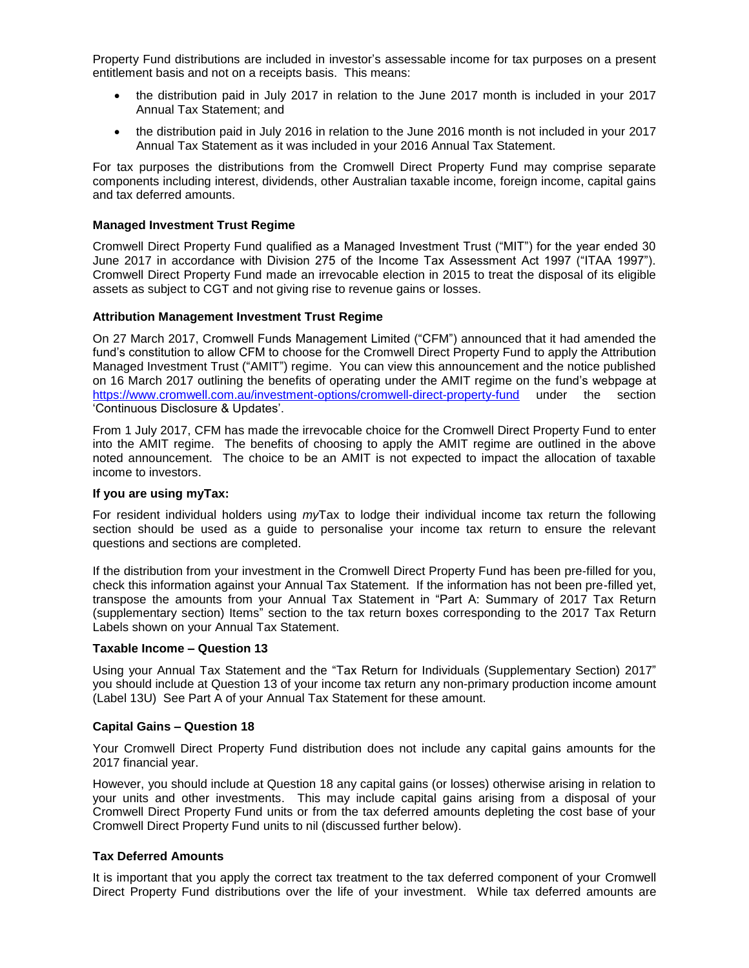Property Fund distributions are included in investor's assessable income for tax purposes on a present entitlement basis and not on a receipts basis. This means:

- the distribution paid in July 2017 in relation to the June 2017 month is included in your 2017 Annual Tax Statement; and
- the distribution paid in July 2016 in relation to the June 2016 month is not included in your 2017 Annual Tax Statement as it was included in your 2016 Annual Tax Statement.

For tax purposes the distributions from the Cromwell Direct Property Fund may comprise separate components including interest, dividends, other Australian taxable income, foreign income, capital gains and tax deferred amounts.

#### **Managed Investment Trust Regime**

Cromwell Direct Property Fund qualified as a Managed Investment Trust ("MIT") for the year ended 30 June 2017 in accordance with Division 275 of the Income Tax Assessment Act 1997 ("ITAA 1997"). Cromwell Direct Property Fund made an irrevocable election in 2015 to treat the disposal of its eligible assets as subject to CGT and not giving rise to revenue gains or losses.

### **Attribution Management Investment Trust Regime**

On 27 March 2017, Cromwell Funds Management Limited ("CFM") announced that it had amended the fund's constitution to allow CFM to choose for the Cromwell Direct Property Fund to apply the Attribution Managed Investment Trust ("AMIT") regime. You can view this announcement and the notice published on 16 March 2017 outlining the benefits of operating under the AMIT regime on the fund's webpage at <https://www.cromwell.com.au/investment-options/cromwell-direct-property-fund> under the section 'Continuous Disclosure & Updates'.

From 1 July 2017, CFM has made the irrevocable choice for the Cromwell Direct Property Fund to enter into the AMIT regime. The benefits of choosing to apply the AMIT regime are outlined in the above noted announcement. The choice to be an AMIT is not expected to impact the allocation of taxable income to investors.

#### **If you are using myTax:**

For resident individual holders using *my*Tax to lodge their individual income tax return the following section should be used as a guide to personalise your income tax return to ensure the relevant questions and sections are completed.

If the distribution from your investment in the Cromwell Direct Property Fund has been pre-filled for you, check this information against your Annual Tax Statement. If the information has not been pre-filled yet, transpose the amounts from your Annual Tax Statement in "Part A: Summary of 2017 Tax Return (supplementary section) Items" section to the tax return boxes corresponding to the 2017 Tax Return Labels shown on your Annual Tax Statement.

#### **Taxable Income – Question 13**

Using your Annual Tax Statement and the "Tax Return for Individuals (Supplementary Section) 2017" you should include at Question 13 of your income tax return any non-primary production income amount (Label 13U) See Part A of your Annual Tax Statement for these amount.

#### **Capital Gains – Question 18**

Your Cromwell Direct Property Fund distribution does not include any capital gains amounts for the 2017 financial year.

However, you should include at Question 18 any capital gains (or losses) otherwise arising in relation to your units and other investments. This may include capital gains arising from a disposal of your Cromwell Direct Property Fund units or from the tax deferred amounts depleting the cost base of your Cromwell Direct Property Fund units to nil (discussed further below).

## **Tax Deferred Amounts**

It is important that you apply the correct tax treatment to the tax deferred component of your Cromwell Direct Property Fund distributions over the life of your investment. While tax deferred amounts are